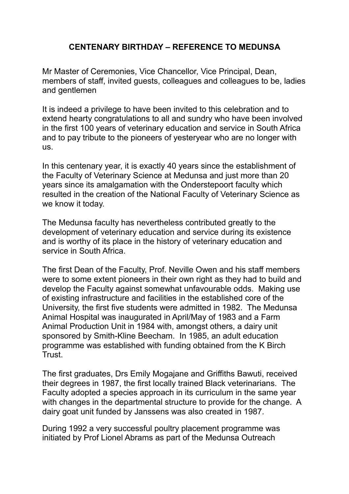## **CENTENARY BIRTHDAY – REFERENCE TO MEDUNSA**

Mr Master of Ceremonies, Vice Chancellor, Vice Principal, Dean, members of staff, invited guests, colleagues and colleagues to be, ladies and gentlemen

It is indeed a privilege to have been invited to this celebration and to extend hearty congratulations to all and sundry who have been involved in the first 100 years of veterinary education and service in South Africa and to pay tribute to the pioneers of yesteryear who are no longer with us.

In this centenary year, it is exactly 40 years since the establishment of the Faculty of Veterinary Science at Medunsa and just more than 20 years since its amalgamation with the Onderstepoort faculty which resulted in the creation of the National Faculty of Veterinary Science as we know it today.

The Medunsa faculty has nevertheless contributed greatly to the development of veterinary education and service during its existence and is worthy of its place in the history of veterinary education and service in South Africa.

The first Dean of the Faculty, Prof. Neville Owen and his staff members were to some extent pioneers in their own right as they had to build and develop the Faculty against somewhat unfavourable odds. Making use of existing infrastructure and facilities in the established core of the University, the first five students were admitted in 1982. The Medunsa Animal Hospital was inaugurated in April/May of 1983 and a Farm Animal Production Unit in 1984 with, amongst others, a dairy unit sponsored by Smith-Kline Beecham. In 1985, an adult education programme was established with funding obtained from the K Birch Trust.

The first graduates, Drs Emily Mogajane and Griffiths Bawuti, received their degrees in 1987, the first locally trained Black veterinarians. The Faculty adopted a species approach in its curriculum in the same year with changes in the departmental structure to provide for the change. A dairy goat unit funded by Janssens was also created in 1987.

During 1992 a very successful poultry placement programme was initiated by Prof Lionel Abrams as part of the Medunsa Outreach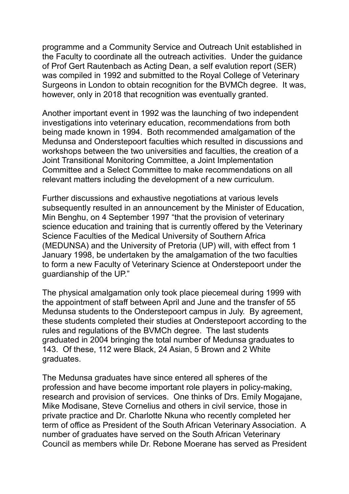programme and a Community Service and Outreach Unit established in the Faculty to coordinate all the outreach activities. Under the guidance of Prof Gert Rautenbach as Acting Dean, a self evalution report (SER) was compiled in 1992 and submitted to the Royal College of Veterinary Surgeons in London to obtain recognition for the BVMCh degree. It was, however, only in 2018 that recognition was eventually granted.

Another important event in 1992 was the launching of two independent investigations into veterinary education, recommendations from both being made known in 1994. Both recommended amalgamation of the Medunsa and Onderstepoort faculties which resulted in discussions and workshops between the two universities and faculties, the creation of a Joint Transitional Monitoring Committee, a Joint Implementation Committee and a Select Committee to make recommendations on all relevant matters including the development of a new curriculum.

Further discussions and exhaustive negotiations at various levels subsequently resulted in an announcement by the Minister of Education, Min Benghu, on 4 September 1997 "that the provision of veterinary science education and training that is currently offered by the Veterinary Science Faculties of the Medical University of Southern Africa (MEDUNSA) and the University of Pretoria (UP) will, with effect from 1 January 1998, be undertaken by the amalgamation of the two faculties to form a new Faculty of Veterinary Science at Onderstepoort under the guardianship of the UP."

The physical amalgamation only took place piecemeal during 1999 with the appointment of staff between April and June and the transfer of 55 Medunsa students to the Onderstepoort campus in July. By agreement, these students completed their studies at Onderstepoort according to the rules and regulations of the BVMCh degree. The last students graduated in 2004 bringing the total number of Medunsa graduates to 143. Of these, 112 were Black, 24 Asian, 5 Brown and 2 White graduates.

The Medunsa graduates have since entered all spheres of the profession and have become important role players in policy-making, research and provision of services. One thinks of Drs. Emily Mogajane, Mike Modisane, Steve Cornelius and others in civil service, those in private practice and Dr. Charlotte Nkuna who recently completed her term of office as President of the South African Veterinary Association. A number of graduates have served on the South African Veterinary Council as members while Dr. Rebone Moerane has served as President